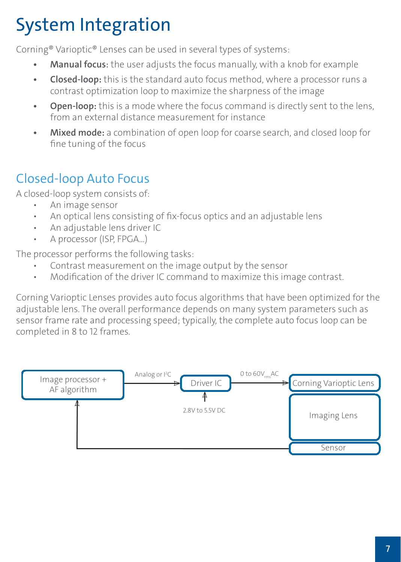## System Integration

Corning® Varioptic® Lenses can be used in several types of systems:

- **• Manual focus**: the user adjusts the focus manually, with a knob for example
- **• Closed-loop:** this is the standard auto focus method, where a processor runs a contrast optimization loop to maximize the sharpness of the image
- **• Open-loop:** this is a mode where the focus command is directly sent to the lens, from an external distance measurement for instance
- **• Mixed mode:** a combination of open loop for coarse search, and closed loop for fine tuning of the focus

## Closed-loop Auto Focus

A closed-loop system consists of:

- An image sensor
- An optical lens consisting of fix-focus optics and an adjustable lens
- An adjustable lens driver IC
- A processor (ISP, FPGA...)

The processor performs the following tasks:

- Contrast measurement on the image output by the sensor
- Modification of the driver IC command to maximize this image contrast.

Corning Varioptic Lenses provides auto focus algorithms that have been optimized for the adjustable lens. The overall performance depends on many system parameters such as sensor frame rate and processing speed; typically, the complete auto focus loop can be completed in 8 to 12 frames.